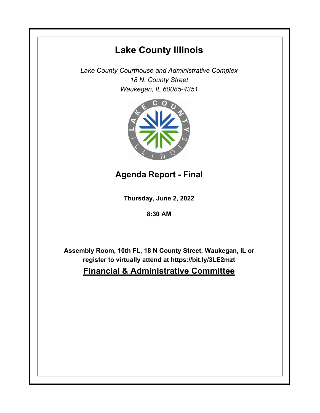# **Lake County Illinois**

*Lake County Courthouse and Administrative Complex 18 N. County Street Waukegan, IL 60085-4351*



**Agenda Report - Final**

**Thursday, June 2, 2022**

**8:30 AM**

**Assembly Room, 10th FL, 18 N County Street, Waukegan, IL or register to virtually attend at https://bit.ly/3LE2mzt**

## **Financial & Administrative Committee**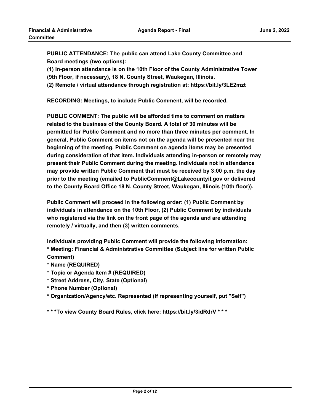**PUBLIC ATTENDANCE: The public can attend Lake County Committee and Board meetings (two options):** 

**(1) In-person attendance is on the 10th Floor of the County Administrative Tower (9th Floor, if necessary), 18 N. County Street, Waukegan, Illinois.**

**(2) Remote / virtual attendance through registration at: https://bit.ly/3LE2mzt**

**RECORDING: Meetings, to include Public Comment, will be recorded.**

**PUBLIC COMMENT: The public will be afforded time to comment on matters related to the business of the County Board. A total of 30 minutes will be permitted for Public Comment and no more than three minutes per comment. In general, Public Comment on items not on the agenda will be presented near the beginning of the meeting. Public Comment on agenda items may be presented during consideration of that item. Individuals attending in-person or remotely may present their Public Comment during the meeting. Individuals not in attendance may provide written Public Comment that must be received by 3:00 p.m. the day prior to the meeting (emailed to PublicComment@Lakecountyil.gov or delivered to the County Board Office 18 N. County Street, Waukegan, Illinois (10th floor)).** 

**Public Comment will proceed in the following order: (1) Public Comment by individuals in attendance on the 10th Floor, (2) Public Comment by individuals who registered via the link on the front page of the agenda and are attending remotely / virtually, and then (3) written comments.** 

**Individuals providing Public Comment will provide the following information: \* Meeting: Financial & Administrative Committee (Subject line for written Public Comment)**

- **\* Name (REQUIRED)**
- **\* Topic or Agenda Item # (REQUIRED)**
- **\* Street Address, City, State (Optional)**
- **\* Phone Number (Optional)**
- **\* Organization/Agency/etc. Represented (If representing yourself, put "Self")**

**\* \* \*To view County Board Rules, click here: https://bit.ly/3idRdrV \* \* \***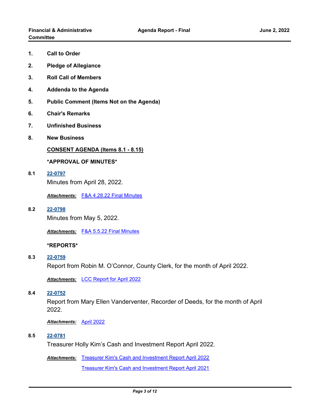- **1. Call to Order**
- **2. Pledge of Allegiance**
- **3. Roll Call of Members**
- **4. Addenda to the Agenda**
- **5. Public Comment (Items Not on the Agenda)**
- **6. Chair's Remarks**
- **7. Unfinished Business**
- **8. New Business**

**CONSENT AGENDA (Items 8.1 - 8.15)**

## **\*APPROVAL OF MINUTES\***

**8.1 [22-0797](http://lakecounty.legistar.com/gateway.aspx?m=l&id=/matter.aspx?key=26583)** Minutes from April 28, 2022.

*Attachments:* [F&A 4.28.22 Final Minutes](http://lakecounty.legistar.com/gateway.aspx?M=F&ID=3fbc44b7-e9d3-470d-9bc8-21f85d1b8263.pdf)

**8.2 [22-0798](http://lakecounty.legistar.com/gateway.aspx?m=l&id=/matter.aspx?key=26584)** Minutes from May 5, 2022.

*Attachments:* [F&A 5.5.22 Final Minutes](http://lakecounty.legistar.com/gateway.aspx?M=F&ID=8b68ff3c-f4ac-4b16-aa9d-36733daf4248.pdf)

## **\*REPORTS\***

**8.3 [22-0759](http://lakecounty.legistar.com/gateway.aspx?m=l&id=/matter.aspx?key=26546)**

Report from Robin M. O'Connor, County Clerk, for the month of April 2022.

*Attachments:* [LCC Report for April 2022](http://lakecounty.legistar.com/gateway.aspx?M=F&ID=6ee60fde-97a3-48d9-a717-3253fefc84b6.pdf)

#### **8.4 [22-0752](http://lakecounty.legistar.com/gateway.aspx?m=l&id=/matter.aspx?key=26539)**

Report from Mary Ellen Vanderventer, Recorder of Deeds, for the month of April 2022.

*Attachments:* [April 2022](http://lakecounty.legistar.com/gateway.aspx?M=F&ID=2de56236-6b1e-4b88-a643-58a2850ea92d.pdf)

**8.5 [22-0781](http://lakecounty.legistar.com/gateway.aspx?m=l&id=/matter.aspx?key=26567)**

Treasurer Holly Kim's Cash and Investment Report April 2022.

Attachments: [Treasurer Kim's Cash and Investment Report April 2022](http://lakecounty.legistar.com/gateway.aspx?M=F&ID=8acbe749-b8fd-4ab8-ae30-5184d21d8ec9.pdf)

[Treasurer Kim's Cash and Investment Report April 2021](http://lakecounty.legistar.com/gateway.aspx?M=F&ID=3e67d64a-3283-43e0-aa5f-3bc47e4d8b8f.pdf)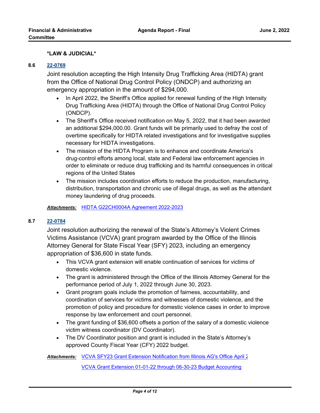## **\*LAW & JUDICIAL\***

#### **8.6 [22-0769](http://lakecounty.legistar.com/gateway.aspx?m=l&id=/matter.aspx?key=26555)**

Joint resolution accepting the High Intensity Drug Trafficking Area (HIDTA) grant from the Office of National Drug Control Policy (ONDCP) and authorizing an emergency appropriation in the amount of \$294,000.

- In April 2022, the Sheriff's Office applied for renewal funding of the High Intensity Drug Trafficking Area (HIDTA) through the Office of National Drug Control Policy (ONDCP).
- The Sheriff's Office received notification on May 5, 2022, that it had been awarded an additional \$294,000.00. Grant funds will be primarily used to defray the cost of overtime specifically for HIDTA related investigations and for investigative supplies necessary for HIDTA investigations.
- · The mission of the HIDTA Program is to enhance and coordinate America's drug-control efforts among local, state and Federal law enforcement agencies in order to eliminate or reduce drug trafficking and its harmful consequences in critical regions of the United States
- · The mission includes coordination efforts to reduce the production, manufacturing, distribution, transportation and chronic use of illegal drugs, as well as the attendant money laundering of drug proceeds.

*Attachments:* [HIDTA G22CH0004A Agreement 2022-2023](http://lakecounty.legistar.com/gateway.aspx?M=F&ID=40473d18-00bf-4aa7-be45-51f73ebbf794.pdf)

#### **8.7 [22-0784](http://lakecounty.legistar.com/gateway.aspx?m=l&id=/matter.aspx?key=26570)**

Joint resolution authorizing the renewal of the State's Attorney's Violent Crimes Victims Assistance (VCVA) grant program awarded by the Office of the Illinois Attorney General for State Fiscal Year (SFY) 2023, including an emergency appropriation of \$36,600 in state funds.

- · This VCVA grant extension will enable continuation of services for victims of domestic violence.
- · The grant is administered through the Office of the Illinois Attorney General for the performance period of July 1, 2022 through June 30, 2023.
- · Grant program goals include the promotion of fairness, accountability, and coordination of services for victims and witnesses of domestic violence, and the promotion of policy and procedure for domestic violence cases in order to improve response by law enforcement and court personnel.
- · The grant funding of \$36,600 offsets a portion of the salary of a domestic violence victim witness coordinator (DV Coordinator).
- · The DV Coordinator position and grant is included in the State's Attorney's approved County Fiscal Year (CFY) 2022 budget.

Attachments: [VCVA SFY23 Grant Extension Notification from Illinois AG's Office April 2](http://lakecounty.legistar.com/gateway.aspx?M=F&ID=daf3b65f-d8aa-4efc-9e16-cb4803c26f9c.pdf)

[VCVA Grant Extension 01-01-22 through 06-30-23 Budget Accounting](http://lakecounty.legistar.com/gateway.aspx?M=F&ID=b3de8444-b8d7-44c2-a9fa-bfa6124a6296.pdf)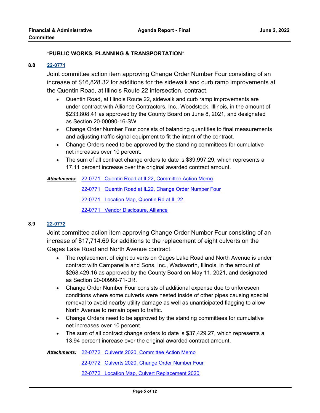## **\*PUBLIC WORKS, PLANNING & TRANSPORTATION\***

#### **8.8 [22-0771](http://lakecounty.legistar.com/gateway.aspx?m=l&id=/matter.aspx?key=26557)**

Joint committee action item approving Change Order Number Four consisting of an increase of \$16,828.32 for additions for the sidewalk and curb ramp improvements at the Quentin Road, at Illinois Route 22 intersection, contract.

- · Quentin Road, at Illinois Route 22, sidewalk and curb ramp improvements are under contract with Alliance Contractors, Inc., Woodstock, Illinois, in the amount of \$233,808.41 as approved by the County Board on June 8, 2021, and designated as Section 20-00090-16-SW.
- · Change Order Number Four consists of balancing quantities to final measurements and adjusting traffic signal equipment to fit the intent of the contract.
- · Change Orders need to be approved by the standing committees for cumulative net increases over 10 percent.
- · The sum of all contract change orders to date is \$39,997.29, which represents a 17.11 percent increase over the original awarded contract amount.

[22-0771 Quentin Road at IL22, Committee Action Memo](http://lakecounty.legistar.com/gateway.aspx?M=F&ID=c68b2143-7e1b-4df5-90bf-56b83bb3779a.pdf) *Attachments:*

[22-0771 Quentin Road at IL22, Change Order Number Four](http://lakecounty.legistar.com/gateway.aspx?M=F&ID=6e5fe082-dc6f-4dea-a323-0369f38b307b.pdf)

[22-0771 Location Map, Quentin Rd at IL 22](http://lakecounty.legistar.com/gateway.aspx?M=F&ID=03004ae8-c755-4c7b-aae2-e51931d0d891.pdf)

[22-0771 Vendor Disclosure, Alliance](http://lakecounty.legistar.com/gateway.aspx?M=F&ID=174d2897-0c53-4a0e-9763-10053a4fd4f2.pdf)

## **8.9 [22-0772](http://lakecounty.legistar.com/gateway.aspx?m=l&id=/matter.aspx?key=26558)**

Joint committee action item approving Change Order Number Four consisting of an increase of \$17,714.69 for additions to the replacement of eight culverts on the Gages Lake Road and North Avenue contract.

- · The replacement of eight culverts on Gages Lake Road and North Avenue is under contract with Campanella and Sons, Inc., Wadsworth, Illinois, in the amount of \$268,429.16 as approved by the County Board on May 11, 2021, and designated as Section 20-00999-71-DR.
- · Change Order Number Four consists of additional expense due to unforeseen conditions where some culverts were nested inside of other pipes causing special removal to avoid nearby utility damage as well as unanticipated flagging to allow North Avenue to remain open to traffic.
- · Change Orders need to be approved by the standing committees for cumulative net increases over 10 percent.
- · The sum of all contract change orders to date is \$37,429.27, which represents a 13.94 percent increase over the original awarded contract amount.

[22-0772 Culverts 2020, Committee Action Memo](http://lakecounty.legistar.com/gateway.aspx?M=F&ID=d0698100-1945-49fe-adee-4f3071d6146b.pdf) *Attachments:*

[22-0772 Culverts 2020, Change Order Number Four](http://lakecounty.legistar.com/gateway.aspx?M=F&ID=b091512b-dd77-4e26-9501-23db4da73b07.pdf)

[22-0772 Location Map, Culvert Replacement 2020](http://lakecounty.legistar.com/gateway.aspx?M=F&ID=179d6d10-fce4-418c-9a0b-ad0ab9337c4b.pdf)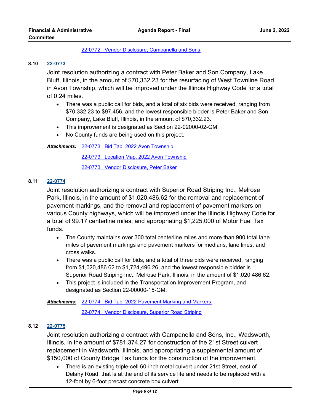#### [22-0772 Vendor Disclosure, Campanella and Sons](http://lakecounty.legistar.com/gateway.aspx?M=F&ID=e8846f8a-eb4b-4df8-8b82-c165296e3b72.pdf)

### **8.10 [22-0773](http://lakecounty.legistar.com/gateway.aspx?m=l&id=/matter.aspx?key=26559)**

Joint resolution authorizing a contract with Peter Baker and Son Company, Lake Bluff, Illinois, in the amount of \$70,332.23 for the resurfacing of West Townline Road in Avon Township, which will be improved under the Illinois Highway Code for a total of 0.24 miles.

- · There was a public call for bids, and a total of six bids were received, ranging from \$70,332.23 to \$97,456, and the lowest responsible bidder is Peter Baker and Son Company, Lake Bluff, Illinois, in the amount of \$70,332.23.
- · This improvement is designated as Section 22-02000-02-GM.
- · No County funds are being used on this project.

[22-0773 Bid Tab, 2022 Avon Township](http://lakecounty.legistar.com/gateway.aspx?M=F&ID=bdee854e-1b8a-4297-a124-a1123e0af80e.pdf) *Attachments:*

[22-0773 Location Map, 2022 Avon Township](http://lakecounty.legistar.com/gateway.aspx?M=F&ID=25575343-06ac-43c4-b17a-ff0f8f07add0.pdf)

[22-0773 Vendor Disclosure, Peter Baker](http://lakecounty.legistar.com/gateway.aspx?M=F&ID=a1e5e1c5-308f-4561-8ebf-a447cdf686dd.pdf)

## **8.11 [22-0774](http://lakecounty.legistar.com/gateway.aspx?m=l&id=/matter.aspx?key=26560)**

Joint resolution authorizing a contract with Superior Road Striping Inc., Melrose Park, Illinois, in the amount of \$1,020,486.62 for the removal and replacement of pavement markings, and the removal and replacement of pavement markers on various County highways, which will be improved under the Illinois Highway Code for a total of 99.17 centerline miles, and appropriating \$1,225,000 of Motor Fuel Tax funds.

- · The County maintains over 300 total centerline miles and more than 900 total lane miles of pavement markings and pavement markers for medians, lane lines, and cross walks.
- · There was a public call for bids, and a total of three bids were received, ranging from \$1,020,486.62 to \$1,724,496.26, and the lowest responsible bidder is Superior Road Striping Inc., Melrose Park, Illinois, in the amount of \$1,020,486.62.
- · This project is included in the Transportation Improvement Program, and designated as Section 22-00000-15-GM.

#### [22-0774 Bid Tab, 2022 Pavement Marking and Markers](http://lakecounty.legistar.com/gateway.aspx?M=F&ID=0a892c8b-e153-4c02-bddb-6a95c228fa1c.pdf) *Attachments:*

[22-0774 Vendor Disclosure, Superior Road Striping](http://lakecounty.legistar.com/gateway.aspx?M=F&ID=9f6b1870-76f0-456c-8141-691629fa20de.pdf)

## **8.12 [22-0775](http://lakecounty.legistar.com/gateway.aspx?m=l&id=/matter.aspx?key=26561)**

Joint resolution authorizing a contract with Campanella and Sons, Inc., Wadsworth, Illinois, in the amount of \$781,374.27 for construction of the 21st Street culvert replacement in Wadsworth, Illinois, and appropriating a supplemental amount of \$150,000 of County Bridge Tax funds for the construction of the improvement.

· There is an existing triple-cell 60-inch metal culvert under 21st Street, east of Delany Road, that is at the end of its service life and needs to be replaced with a 12-foot by 6-foot precast concrete box culvert.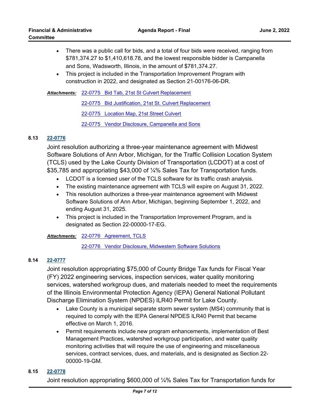- · There was a public call for bids, and a total of four bids were received, ranging from \$781,374.27 to \$1,410,618.78, and the lowest responsible bidder is Campanella and Sons, Wadsworth, Illinois, in the amount of \$781,374.27.
- · This project is included in the Transportation Improvement Program with construction in 2022, and designated as Section 21-00176-06-DR.

[22-0775 Bid Tab, 21st St Culvert Replacement](http://lakecounty.legistar.com/gateway.aspx?M=F&ID=e5e09633-d342-4f0a-b62f-46f1c482225d.pdf) *Attachments:* [22-0775 Bid Justification, 21st St. Culvert Replacement](http://lakecounty.legistar.com/gateway.aspx?M=F&ID=3da66f6f-bf8f-4d87-acce-3bcf0be52098.pdf) [22-0775 Location Map, 21st Street Culvert](http://lakecounty.legistar.com/gateway.aspx?M=F&ID=942b31b2-10f5-415c-8afd-c998128d3fd5.pdf) [22-0775 Vendor Disclosure, Campanella and Sons](http://lakecounty.legistar.com/gateway.aspx?M=F&ID=4b96a397-9f34-4787-9ed3-cca107573a50.pdf)

## **8.13 [22-0776](http://lakecounty.legistar.com/gateway.aspx?m=l&id=/matter.aspx?key=26562)**

Joint resolution authorizing a three-year maintenance agreement with Midwest Software Solutions of Ann Arbor, Michigan, for the Traffic Collision Location System (TCLS) used by the Lake County Division of Transportation (LCDOT) at a cost of \$35,785 and appropriating \$43,000 of ¼% Sales Tax for Transportation funds.

- · LCDOT is a licensed user of the TCLS software for its traffic crash analysis.
- · The existing maintenance agreement with TCLS will expire on August 31, 2022.
- · This resolution authorizes a three-year maintenance agreement with Midwest Software Solutions of Ann Arbor, Michigan, beginning September 1, 2022, and ending August 31, 2025.
- · This project is included in the Transportation Improvement Program, and is designated as Section 22-00000-17-EG.

[22-0776 Agreement, TCLS](http://lakecounty.legistar.com/gateway.aspx?M=F&ID=a0bd79e0-e651-4223-8605-d099ef14a7b2.pdf) *Attachments:*

[22-0776 Vendor Disclosure, Midwestern Software Solutions](http://lakecounty.legistar.com/gateway.aspx?M=F&ID=03199f0d-68cf-4527-a774-fc58cd2620e5.pdf)

## **8.14 [22-0777](http://lakecounty.legistar.com/gateway.aspx?m=l&id=/matter.aspx?key=26563)**

Joint resolution appropriating \$75,000 of County Bridge Tax funds for Fiscal Year (FY) 2022 engineering services, inspection services, water quality monitoring services, watershed workgroup dues, and materials needed to meet the requirements of the Illinois Environmental Protection Agency (IEPA) General National Pollutant Discharge Elimination System (NPDES) ILR40 Permit for Lake County.

- · Lake County is a municipal separate storm sewer system (MS4) community that is required to comply with the IEPA General NPDES ILR40 Permit that became effective on March 1, 2016.
- · Permit requirements include new program enhancements, implementation of Best Management Practices, watershed workgroup participation, and water quality monitoring activities that will require the use of engineering and miscellaneous services, contract services, dues, and materials, and is designated as Section 22- 00000-19-GM.

## **8.15 [22-0778](http://lakecounty.legistar.com/gateway.aspx?m=l&id=/matter.aspx?key=26564)**

Joint resolution appropriating \$600,000 of ¼% Sales Tax for Transportation funds for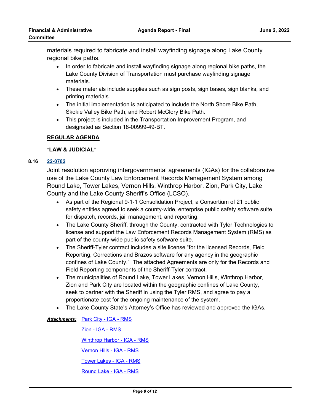materials required to fabricate and install wayfinding signage along Lake County regional bike paths.

- · In order to fabricate and install wayfinding signage along regional bike paths, the Lake County Division of Transportation must purchase wayfinding signage materials.
- · These materials include supplies such as sign posts, sign bases, sign blanks, and printing materials.
- · The initial implementation is anticipated to include the North Shore Bike Path, Skokie Valley Bike Path, and Robert McClory Bike Path.
- · This project is included in the Transportation Improvement Program, and designated as Section 18-00999-49-BT.

## **REGULAR AGENDA**

## **\*LAW & JUDICIAL\***

## **8.16 [22-0782](http://lakecounty.legistar.com/gateway.aspx?m=l&id=/matter.aspx?key=26568)**

Joint resolution approving intergovernmental agreements (IGAs) for the collaborative use of the Lake County Law Enforcement Records Management System among Round Lake, Tower Lakes, Vernon Hills, Winthrop Harbor, Zion, Park City, Lake County and the Lake County Sheriff's Office (LCSO).

- · As part of the Regional 9-1-1 Consolidation Project, a Consortium of 21 public safety entities agreed to seek a county-wide, enterprise public safety software suite for dispatch, records, jail management, and reporting.
- · The Lake County Sheriff, through the County, contracted with Tyler Technologies to license and support the Law Enforcement Records Management System (RMS) as part of the county-wide public safety software suite.
- · The Sheriff-Tyler contract includes a site license "for the licensed Records, Field Reporting, Corrections and Brazos software for any agency in the geographic confines of Lake County." The attached Agreements are only for the Records and Field Reporting components of the Sheriff-Tyler contract.
- · The municipalities of Round Lake, Tower Lakes, Vernon Hills, Winthrop Harbor, Zion and Park City are located within the geographic confines of Lake County, seek to partner with the Sheriff in using the Tyler RMS, and agree to pay a proportionate cost for the ongoing maintenance of the system.
- · The Lake County State's Attorney's Office has reviewed and approved the IGAs.

Attachments: [Park City - IGA - RMS](http://lakecounty.legistar.com/gateway.aspx?M=F&ID=e52c4527-84f5-4c9c-b490-905348d81d59.pdf)

[Zion - IGA - RMS](http://lakecounty.legistar.com/gateway.aspx?M=F&ID=03d866db-bade-4feb-a25e-a6976e6498fb.pdf)

[Winthrop Harbor - IGA - RMS](http://lakecounty.legistar.com/gateway.aspx?M=F&ID=2b40e2e8-8f87-410b-8c31-b15f1bbedccc.pdf)

[Vernon Hills - IGA - RMS](http://lakecounty.legistar.com/gateway.aspx?M=F&ID=a2082eac-54ed-45c5-9371-8a991578246c.pdf)

[Tower Lakes - IGA - RMS](http://lakecounty.legistar.com/gateway.aspx?M=F&ID=28465147-ca64-4bdb-83e4-50c6667fc176.pdf)

[Round Lake - IGA - RMS](http://lakecounty.legistar.com/gateway.aspx?M=F&ID=f42a8abc-7425-4200-8297-9f4a1674af8b.pdf)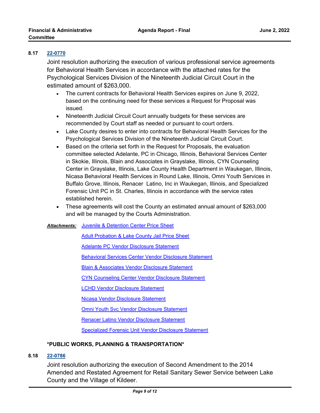## **8.17 [22-0770](http://lakecounty.legistar.com/gateway.aspx?m=l&id=/matter.aspx?key=26556)**

Joint resolution authorizing the execution of various professional service agreements for Behavioral Health Services in accordance with the attached rates for the Psychological Services Division of the Nineteenth Judicial Circuit Court in the estimated amount of \$263,000.

- · The current contracts for Behavioral Health Services expires on June 9, 2022, based on the continuing need for these services a Request for Proposal was issued.
- · Nineteenth Judicial Circuit Court annually budgets for these services are recommended by Court staff as needed or pursuant to court orders.
- · Lake County desires to enter into contracts for Behavioral Health Services for the Psychological Services Division of the Nineteenth Judicial Circuit Court.
- · Based on the criteria set forth in the Request for Proposals, the evaluation committee selected Adelante, PC in Chicago, Illinois, Behavioral Services Center in Skokie, Illinois, Blain and Associates in Grayslake, Illinois, CYN Counseling Center in Grayslake, Illinois, Lake County Health Department in Waukegan, Illinois, Nicasa Behavioral Health Services in Round Lake, Illinois, Omni Youth Services in Buffalo Grove, Illinois, Renacer Latino, Inc in Waukegan, Illinois, and Specialized Forensic Unit PC in St. Charles, Illinois in accordance with the service rates established herein.
- · These agreements will cost the County an estimated annual amount of \$263,000 and will be managed by the Courts Administration.

## Attachments: [Juvenile & Detention Center Price Sheet](http://lakecounty.legistar.com/gateway.aspx?M=F&ID=779b8eb6-a1e3-48b0-a057-44f755bec11b.pdf)

[Adult Probation & Lake County Jail Price Sheet](http://lakecounty.legistar.com/gateway.aspx?M=F&ID=a088ac3a-db23-4684-9ae4-1037f9110401.pdf)

[Adelante PC Vendor Disclosure Statement](http://lakecounty.legistar.com/gateway.aspx?M=F&ID=d21c40f3-a3b4-4f81-9af1-5abb0337690c.pdf)

[Behavioral Services Center Vendor Disclosure Statement](http://lakecounty.legistar.com/gateway.aspx?M=F&ID=78158cc0-15b5-49aa-95af-015d1aa845ab.pdf)

[Blain & Associates Vendor Disclosure Statement](http://lakecounty.legistar.com/gateway.aspx?M=F&ID=916e5023-cfc7-4581-9bec-d5a0914812c3.pdf)

[CYN Counseling Center Vendor Disclosure Statement](http://lakecounty.legistar.com/gateway.aspx?M=F&ID=83e4ec00-70a1-4fc2-b9e0-31eb9a0540c0.pdf)

[LCHD Vendor Disclosure Statement](http://lakecounty.legistar.com/gateway.aspx?M=F&ID=52a624bb-ffbb-4aa7-a3f7-6e98c5f6111a.pdf)

[Nicasa Vendor Disclosure Statement](http://lakecounty.legistar.com/gateway.aspx?M=F&ID=df20bc67-19e6-4738-b420-2eb0a795361b.pdf)

**[Omni Youth Svc Vendor Disclosure Statement](http://lakecounty.legistar.com/gateway.aspx?M=F&ID=fd323ca5-b123-41b7-8790-87fe3b16fdb5.pdf)** 

[Renacer Latino Vendor Disclosure Statement](http://lakecounty.legistar.com/gateway.aspx?M=F&ID=fdd3cac1-b47a-4d33-8bb8-90765c8d6367.pdf)

[Specialized Forensic Unit Vendor Disclosure Statement](http://lakecounty.legistar.com/gateway.aspx?M=F&ID=e6a20793-d04b-4506-ad17-13c73f044375.pdf)

## **\*PUBLIC WORKS, PLANNING & TRANSPORTATION\***

## **8.18 [22-0786](http://lakecounty.legistar.com/gateway.aspx?m=l&id=/matter.aspx?key=26572)**

Joint resolution authorizing the execution of Second Amendment to the 2014 Amended and Restated Agreement for Retail Sanitary Sewer Service between Lake County and the Village of Kildeer.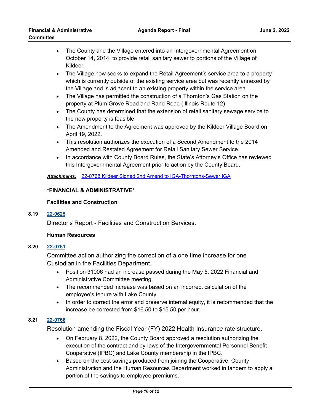- · The County and the Village entered into an Intergovernmental Agreement on October 14, 2014, to provide retail sanitary sewer to portions of the Village of Kildeer.
- · The Village now seeks to expand the Retail Agreement's service area to a property which is currently outside of the existing service area but was recently annexed by the Village and is adjacent to an existing property within the service area.
- · The Village has permitted the construction of a Thornton's Gas Station on the property at Plum Grove Road and Rand Road (Illinois Route 12)
- · The County has determined that the extension of retail sanitary sewage service to the new property is feasible.
- · The Amendment to the Agreement was approved by the Kildeer Village Board on April 19, 2022.
- · This resolution authorizes the execution of a Second Amendment to the 2014 Amended and Restated Agreement for Retail Sanitary Sewer Service.
- · In accordance with County Board Rules, the State's Attorney's Office has reviewed this Intergovernmental Agreement prior to action by the County Board.

*Attachments:* [22-0768 Kildeer Signed 2nd Amend to IGA-Thorntons-Sewer IGA](http://lakecounty.legistar.com/gateway.aspx?M=F&ID=f520a3a3-bd75-473f-b799-8cc15a86565d.pdf)

## **\*FINANCIAL & ADMINISTRATIVE\***

## **Facilities and Construction**

## **8.19 [22-0625](http://lakecounty.legistar.com/gateway.aspx?m=l&id=/matter.aspx?key=26412)**

Director's Report - Facilities and Construction Services.

## **Human Resources**

## **8.20 [22-0761](http://lakecounty.legistar.com/gateway.aspx?m=l&id=/matter.aspx?key=26547)**

Committee action authorizing the correction of a one time increase for one Custodian in the Facilities Department.

- · Position 31006 had an increase passed during the May 5, 2022 Financial and Administrative Committee meeting.
- · The recommended increase was based on an incorrect calculation of the employee's tenure with Lake County.
- · In order to correct the error and preserve internal equity, it is recommended that the increase be corrected from \$16.50 to \$15.50 per hour.

## **8.21 [22-0766](http://lakecounty.legistar.com/gateway.aspx?m=l&id=/matter.aspx?key=26552)**

Resolution amending the Fiscal Year (FY) 2022 Health Insurance rate structure.

- · On February 8, 2022, the County Board approved a resolution authorizing the execution of the contract and by-laws of the Intergovernmental Personnel Benefit Cooperative (IPBC) and Lake County membership in the IPBC.
- · Based on the cost savings produced from joining the Cooperative, County Administration and the Human Resources Department worked in tandem to apply a portion of the savings to employee premiums.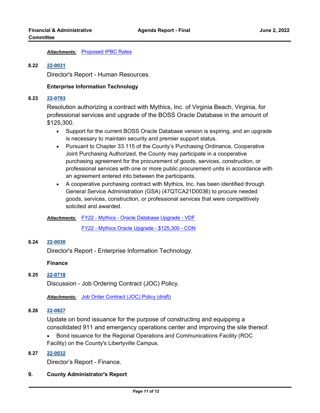#### *Attachments:* [Proposed IPBC Rates](http://lakecounty.legistar.com/gateway.aspx?M=F&ID=a4c2419e-6971-4e3d-80cc-4606f7a7a970.pdf)

#### **8.22 [22-0031](http://lakecounty.legistar.com/gateway.aspx?m=l&id=/matter.aspx?key=25813)**

Director's Report - Human Resources.

#### **Enterprise Information Technology**

### **8.23 [22-0793](http://lakecounty.legistar.com/gateway.aspx?m=l&id=/matter.aspx?key=26579)**

Resolution authorizing a contract with Mythics, Inc. of Virginia Beach, Virginia, for professional services and upgrade of the BOSS Oracle Database in the amount of \$125,300.

- · Support for the current BOSS Oracle Database version is expiring, and an upgrade is necessary to maintain security and premier support status.
- · Pursuant to Chapter 33.115 of the County's Purchasing Ordinance, Cooperative Joint Purchasing Authorized, the County may participate in a cooperative purchasing agreement for the procurement of goods, services, construction, or professional services with one or more public procurement units in accordance with an agreement entered into between the participants.
- · A cooperative purchasing contract with Mythics, Inc. has been identified through General Service Administration (GSA) (47QTCA21D0036) to procure needed goods, services, construction, or professional services that were competitively solicited and awarded.

#### [FY22 - Mythics - Oracle Database Upgrade - VDF](http://lakecounty.legistar.com/gateway.aspx?M=F&ID=dfdd30d1-cd8e-44c5-90e6-d060b6632601.pdf) *Attachments:*

[FY22 - Mythics Oracle Upgrade - \\$125,300 - CON](http://lakecounty.legistar.com/gateway.aspx?M=F&ID=4f64bc54-fccf-4c6a-8fad-310ac4940d09.pdf)

## **8.24 [22-0030](http://lakecounty.legistar.com/gateway.aspx?m=l&id=/matter.aspx?key=25812)**

Director's Report - Enterprise Information Technology.

#### **Finance**

#### **8.25 [22-0718](http://lakecounty.legistar.com/gateway.aspx?m=l&id=/matter.aspx?key=26505)**

Discussion - Job Ordering Contract (JOC) Policy.

*Attachments:* [Job Order Contract \(JOC\) Policy \(draft\)](http://lakecounty.legistar.com/gateway.aspx?M=F&ID=d228ac9e-b6d5-4519-afb2-0f55fd302e6c.pdf)

## **8.26 [22-0827](http://lakecounty.legistar.com/gateway.aspx?m=l&id=/matter.aspx?key=26612)**

Update on bond issuance for the purpose of constructing and equipping a consolidated 911 and emergency operations center and improving the site thereof.

· Bond issuance for the Regional Operations and Communications Facility (ROC Facility) on the County's Libertyville Campus.

## **8.27 [22-0032](http://lakecounty.legistar.com/gateway.aspx?m=l&id=/matter.aspx?key=25814)**

Director's Report - Finance.

#### **9. County Administrator's Report**